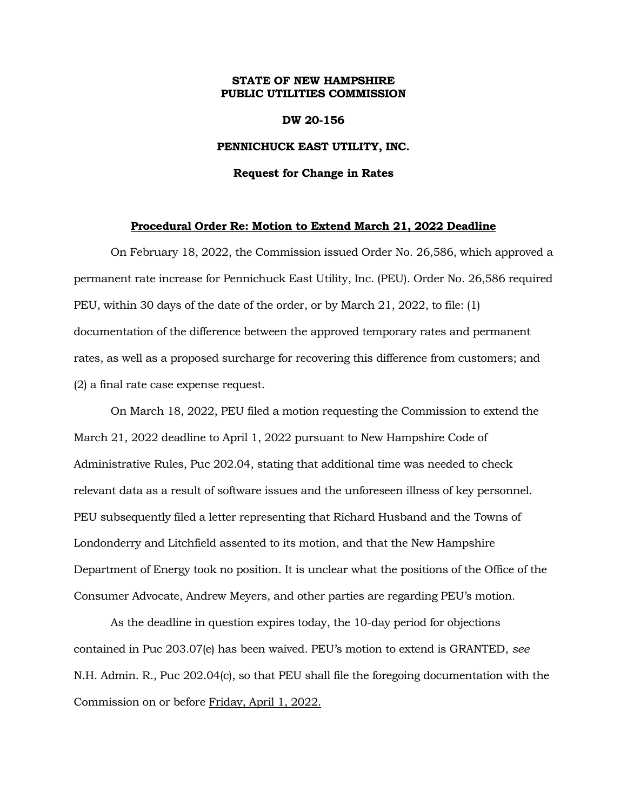## **STATE OF NEW HAMPSHIRE PUBLIC UTILITIES COMMISSION**

### **DW 20-156**

## **PENNICHUCK EAST UTILITY, INC.**

#### **Request for Change in Rates**

## **Procedural Order Re: Motion to Extend March 21, 2022 Deadline**

On February 18, 2022, the Commission issued Order No. 26,586, which approved a permanent rate increase for Pennichuck East Utility, Inc. (PEU). Order No. 26,586 required PEU, within 30 days of the date of the order, or by March 21, 2022, to file: (1) documentation of the difference between the approved temporary rates and permanent rates, as well as a proposed surcharge for recovering this difference from customers; and (2) a final rate case expense request.

On March 18, 2022, PEU filed a motion requesting the Commission to extend the March 21, 2022 deadline to April 1, 2022 pursuant to New Hampshire Code of Administrative Rules, Puc 202.04, stating that additional time was needed to check relevant data as a result of software issues and the unforeseen illness of key personnel. PEU subsequently filed a letter representing that Richard Husband and the Towns of Londonderry and Litchfield assented to its motion, and that the New Hampshire Department of Energy took no position. It is unclear what the positions of the Office of the Consumer Advocate, Andrew Meyers, and other parties are regarding PEU's motion.

As the deadline in question expires today, the 10-day period for objections contained in Puc 203.07(e) has been waived. PEU's motion to extend is GRANTED, *see*  N.H. Admin. R., Puc 202.04(c), so that PEU shall file the foregoing documentation with the Commission on or before Friday, April 1, 2022.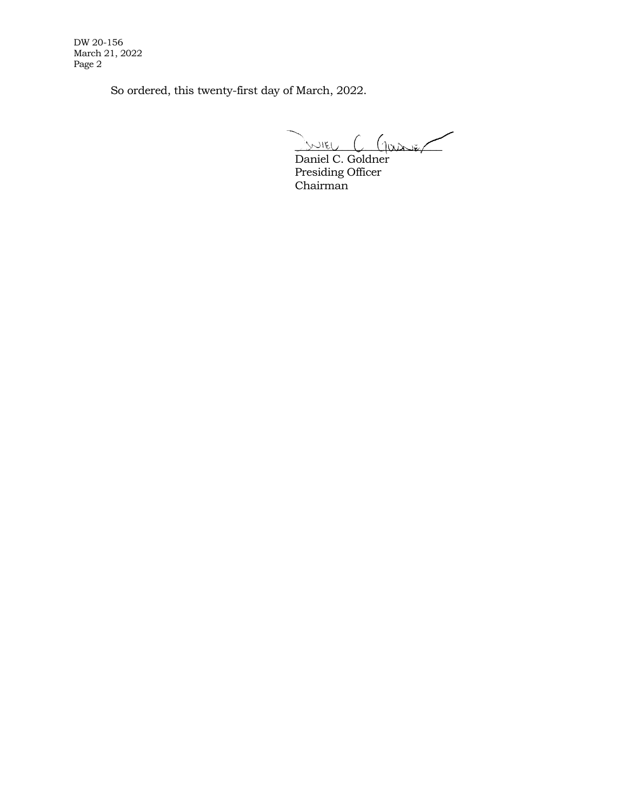DW 20-156 March 21, 2022 Page 2

So ordered, this twenty-first day of March, 2022.

 $\sim$   $\sim$   $\sim$   $\sim$   $\sim$   $\sim$   $\sim$   $\sim$ 

Daniel C. Goldner Presiding Officer Chairman